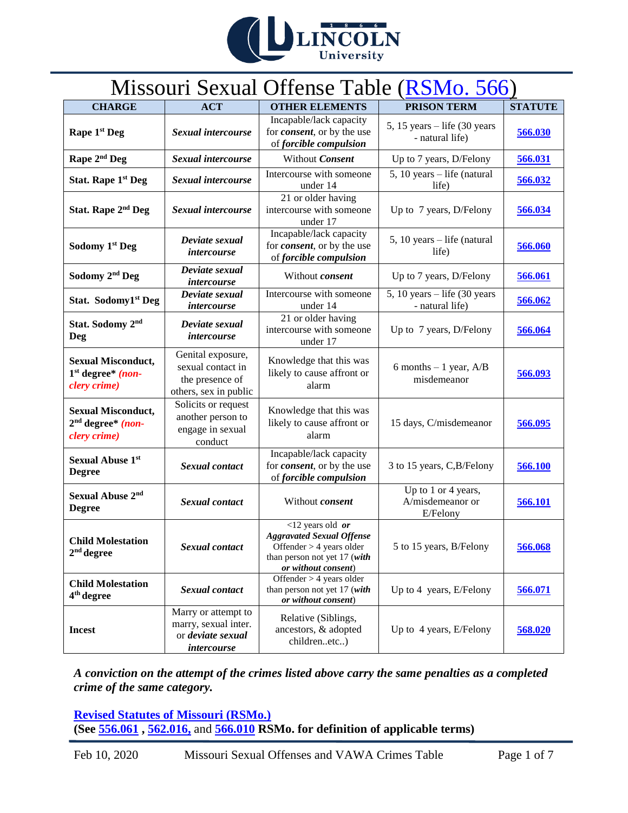

# Missouri Sexual Offense Table [\(RSMo. 566\)](http://revisor.mo.gov/main/OneChapter.aspx?chapter=566)

| <b>CHARGE</b>                                                    | <b>ACT</b>                                                                         | <b>OTHER ELEMENTS</b>                                                                                                                               | <b>PRISON TERM</b>                                    | <b>STATUTE</b> |
|------------------------------------------------------------------|------------------------------------------------------------------------------------|-----------------------------------------------------------------------------------------------------------------------------------------------------|-------------------------------------------------------|----------------|
| Rape 1 <sup>st</sup> Deg                                         | Sexual intercourse                                                                 | Incapable/lack capacity<br>for <i>consent</i> , or by the use<br>of forcible compulsion                                                             | 5, 15 years $-$ life (30 years<br>- natural life)     | 566.030        |
| Rape 2 <sup>nd</sup> Deg                                         | Sexual intercourse                                                                 | Without Consent                                                                                                                                     | Up to 7 years, D/Felony                               | 566.031        |
| Stat. Rape 1 <sup>st</sup> Deg                                   | Sexual intercourse                                                                 | Intercourse with someone<br>under 14                                                                                                                | 5, 10 years - life (natural<br>life)                  | 566.032        |
| Stat. Rape 2 <sup>nd</sup> Deg                                   | Sexual intercourse                                                                 | 21 or older having<br>intercourse with someone<br>under 17                                                                                          | Up to 7 years, D/Felony                               | 566.034        |
| Sodomy 1st Deg                                                   | Deviate sexual<br><i>intercourse</i>                                               | Incapable/lack capacity<br>for <i>consent</i> , or by the use<br>of forcible compulsion                                                             | $5, 10 \text{ years} - \text{life}$ (natural<br>life) | 566.060        |
| Sodomy 2 <sup>nd</sup> Deg                                       | Deviate sexual<br><i>intercourse</i>                                               | Without consent                                                                                                                                     | Up to 7 years, D/Felony                               | 566.061        |
| Stat. Sodomy1st Deg                                              | $\overline{Dev}$ iate sexual<br>intercourse                                        | Intercourse with someone<br>under 14                                                                                                                | 5, 10 years $-$ life (30 years<br>- natural life)     | 566.062        |
| Stat. Sodomy 2 <sup>nd</sup><br>Deg                              | Deviate sexual<br><i>intercourse</i>                                               | 21 or older having<br>intercourse with someone<br>under 17                                                                                          | Up to 7 years, D/Felony                               | 566.064        |
| <b>Sexual Misconduct,</b><br>$1st degree* (non-$<br>clery crime) | Genital exposure,<br>sexual contact in<br>the presence of<br>others, sex in public | Knowledge that this was<br>likely to cause affront or<br>alarm                                                                                      | 6 months $-1$ year, A/B<br>misdemeanor                | 566.093        |
| <b>Sexual Misconduct,</b><br>$2nd degree* (non-$<br>clery crime) | Solicits or request<br>another person to<br>engage in sexual<br>conduct            | Knowledge that this was<br>likely to cause affront or<br>alarm                                                                                      | 15 days, C/misdemeanor                                | 566.095        |
| <b>Sexual Abuse 1st</b><br><b>Degree</b>                         | Sexual contact                                                                     | Incapable/lack capacity<br>for <i>consent</i> , or by the use<br>of forcible compulsion                                                             | 3 to 15 years, C, B/Felony                            | 566.100        |
| Sexual Abuse 2nd<br><b>Degree</b>                                | Sexual contact                                                                     | Without consent                                                                                                                                     | Up to 1 or 4 years,<br>A/misdemeanor or<br>E/Felony   | 566.101        |
| <b>Child Molestation</b><br>$2nd$ degree                         | Sexual contact                                                                     | $\overline{12}$ years old or<br><b>Aggravated Sexual Offense</b><br>Offender > 4 years older<br>than person not yet 17 (with<br>or without consent) | 5 to 15 years, B/Felony                               | 566.068        |
| <b>Child Molestation</b><br>4 <sup>th</sup> degree               | Sexual contact                                                                     | Offender $> 4$ years older<br>than person not yet 17 (with<br>or without consent)                                                                   | Up to 4 years, E/Felony                               | 566.071        |
| <b>Incest</b>                                                    | Marry or attempt to<br>marry, sexual inter.<br>or deviate sexual<br>intercourse    | Relative (Siblings,<br>ancestors, & adopted<br>childrenetc)                                                                                         | Up to 4 years, E/Felony                               | 568.020        |

*A conviction on the attempt of the crimes listed above carry the same penalties as a completed crime of the same category.* 

**[Revised Statutes of Missouri \(RSMo.\)](http://revisor.mo.gov/main/Home.aspx) (See [556.061](http://revisor.mo.gov/main/PageSelect.aspx?section=556.061&bid=29054&hl=) , [562.016,](http://revisor.mo.gov/main/PageSelect.aspx?section=562.016&bid=29180&hl=)** and **[566.010](http://revisor.mo.gov/main/PageSelect.aspx?section=566.010&bid=29380&hl=) RSMo. for definition of applicable terms)**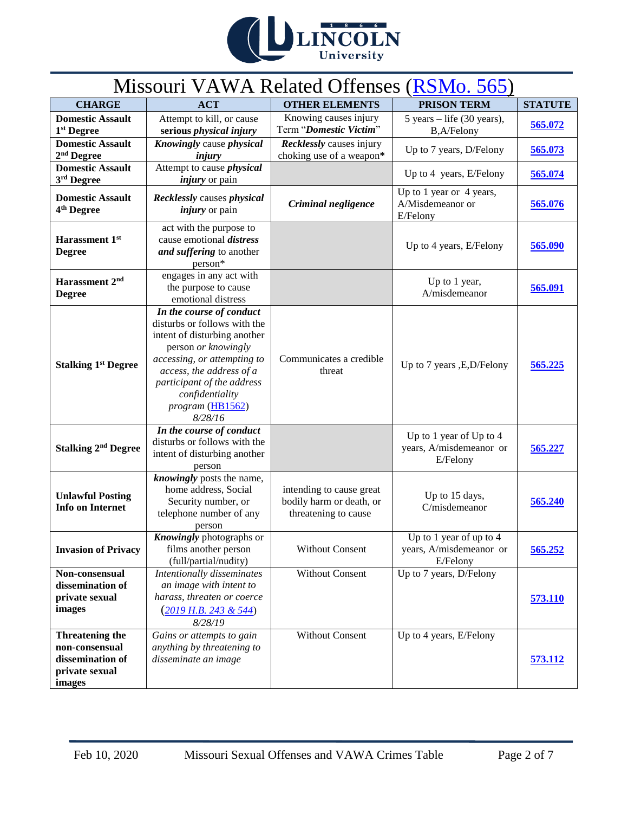

# Missouri VAWA Related Offenses [\(RSMo. 565\)](https://revisor.mo.gov/main/OneChapter.aspx?chapter=565)

| <b>CHARGE</b>                                                                            | <b>ACT</b>                                                                                                                                                                                                                                                 | <b>OTHER ELEMENTS</b>                                                        | <b>PRISON TERM</b>                                             | <b>STATUTE</b> |
|------------------------------------------------------------------------------------------|------------------------------------------------------------------------------------------------------------------------------------------------------------------------------------------------------------------------------------------------------------|------------------------------------------------------------------------------|----------------------------------------------------------------|----------------|
| <b>Domestic Assault</b><br>1 <sup>st</sup> Degree                                        | Attempt to kill, or cause<br>serious physical injury                                                                                                                                                                                                       | Knowing causes injury<br>Term "Domestic Victim"                              | 5 years $-$ life (30 years),<br><b>B,A/Felony</b>              | 565.072        |
| <b>Domestic Assault</b><br>$2nd$ Degree                                                  | Knowingly cause physical<br>injury                                                                                                                                                                                                                         | Recklessly causes injury<br>choking use of a weapon*                         | Up to 7 years, D/Felony                                        | 565.073        |
| <b>Domestic Assault</b><br>3rd Degree                                                    | Attempt to cause <i>physical</i><br><i>injury</i> or pain                                                                                                                                                                                                  |                                                                              | Up to 4 years, E/Felony                                        | 565.074        |
| <b>Domestic Assault</b><br>4 <sup>th</sup> Degree                                        | <b>Recklessly causes physical</b><br><i>injury</i> or pain                                                                                                                                                                                                 | Criminal negligence                                                          | Up to 1 year or 4 years,<br>A/Misdemeanor or<br>E/Felony       | 565.076        |
| Harassment 1st<br><b>Degree</b>                                                          | act with the purpose to<br>cause emotional <i>distress</i><br>and suffering to another<br>person*                                                                                                                                                          |                                                                              | Up to 4 years, E/Felony                                        | 565.090        |
| Harassment 2 <sup>nd</sup><br><b>Degree</b>                                              | engages in any act with<br>the purpose to cause<br>emotional distress                                                                                                                                                                                      |                                                                              | Up to 1 year,<br>A/misdemeanor                                 | 565.091        |
| <b>Stalking 1st Degree</b>                                                               | In the course of conduct<br>disturbs or follows with the<br>intent of disturbing another<br>person or knowingly<br>accessing, or attempting to<br>access, the address of a<br>participant of the address<br>confidentiality<br>program (HB1562)<br>8/28/16 | Communicates a credible<br>threat                                            | Up to 7 years , E, D/Felony                                    | 565.225        |
| <b>Stalking 2<sup>nd</sup> Degree</b>                                                    | In the course of conduct<br>disturbs or follows with the<br>intent of disturbing another<br>person                                                                                                                                                         |                                                                              | Up to 1 year of Up to 4<br>years, A/misdemeanor or<br>E/Felony | 565.227        |
| <b>Unlawful Posting</b><br><b>Info on Internet</b>                                       | knowingly posts the name,<br>home address, Social<br>Security number, or<br>telephone number of any<br>person                                                                                                                                              | intending to cause great<br>bodily harm or death, or<br>threatening to cause | Up to 15 days,<br>C/misdemeanor                                | 565.240        |
| <b>Invasion of Privacy</b>                                                               | <b>Knowingly</b> photographs or<br>films another person<br>(full/partial/nudity)                                                                                                                                                                           | <b>Without Consent</b>                                                       | Up to 1 year of up to 4<br>years, A/misdemeanor or<br>E/Felony | 565.252        |
| Non-consensual<br>dissemination of<br>private sexual<br>images                           | Intentionally disseminates<br>an image with intent to<br>harass, threaten or coerce<br>$(2019 \text{ H.B. } 243 \text{ \& } 544)$<br>8/28/19                                                                                                               | <b>Without Consent</b>                                                       | Up to 7 years, D/Felony                                        | 573.110        |
| <b>Threatening the</b><br>non-consensual<br>dissemination of<br>private sexual<br>images | Gains or attempts to gain<br>anything by threatening to<br>disseminate an image                                                                                                                                                                            | <b>Without Consent</b>                                                       | Up to 4 years, E/Felony                                        | <b>573.112</b> |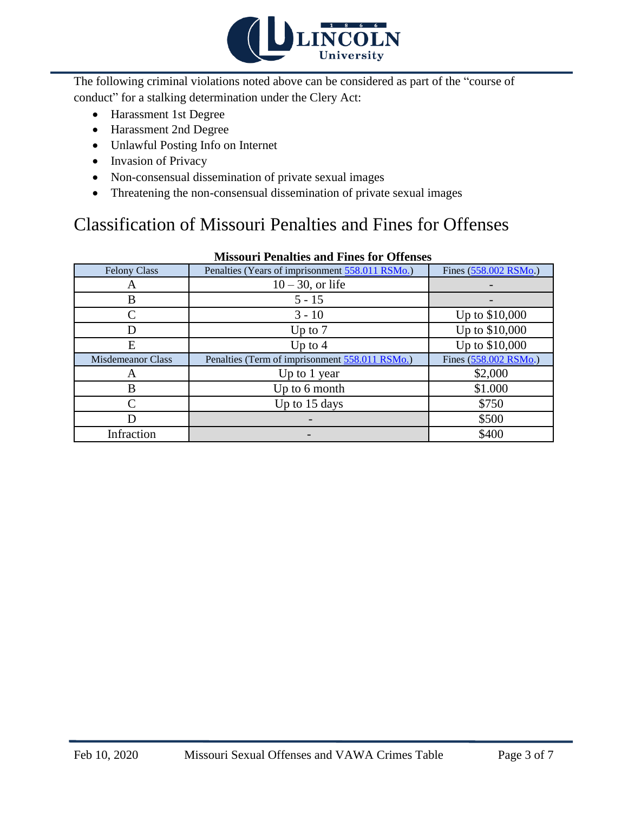

The following criminal violations noted above can be considered as part of the "course of conduct" for a stalking determination under the Clery Act:

- Harassment 1st Degree
- Harassment 2nd Degree
- Unlawful Posting Info on Internet
- Invasion of Privacy
- Non-consensual dissemination of private sexual images
- Threatening the non-consensual dissemination of private sexual images

### Classification of Missouri Penalties and Fines for Offenses

| <b>Felony Class</b>      | Penalties (Years of imprisonment 558.011 RSMo.) | Fines (558.002 RSMo.) |
|--------------------------|-------------------------------------------------|-----------------------|
| A                        | $10-30$ , or life                               |                       |
| В                        | $5 - 15$                                        |                       |
|                          | $3 - 10$                                        | Up to \$10,000        |
| D                        | Up to $7$                                       | Up to \$10,000        |
| E                        | Up to $4$                                       | Up to \$10,000        |
| <b>Misdemeanor Class</b> | Penalties (Term of imprisonment 558.011 RSMo.)  | Fines (558.002 RSMo.) |
| A                        | Up to 1 year                                    | \$2,000               |
| B                        | Up to 6 month                                   | \$1.000               |
|                          | Up to 15 days                                   | \$750                 |
| D                        |                                                 | \$500                 |
| Infraction               |                                                 | \$400                 |

### **Missouri Penalties and Fines for Offenses**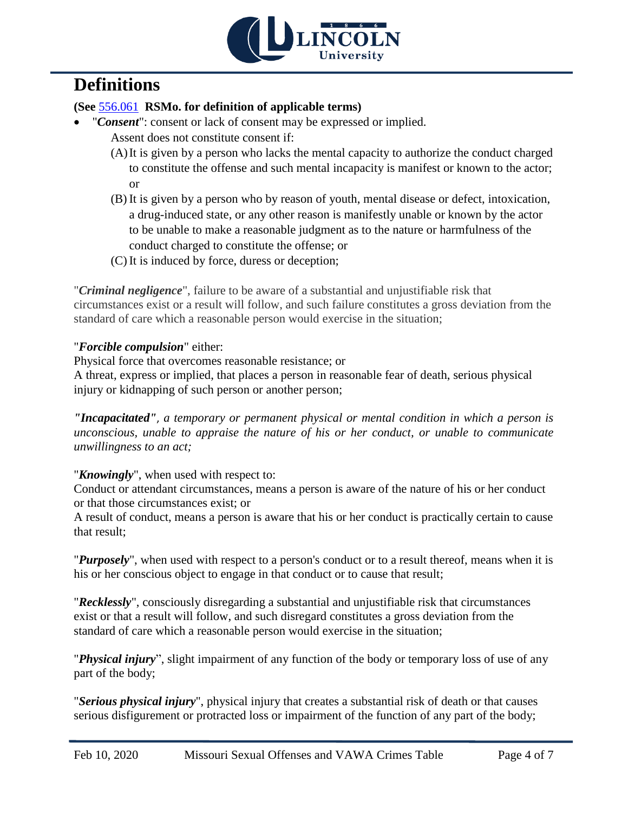

## **Definitions**

### **(See** [556.061](http://revisor.mo.gov/main/PageSelect.aspx?section=556.061&bid=29054&hl=) **RSMo. for definition of applicable terms)**

- "*Consent*": consent or lack of consent may be expressed or implied. Assent does not constitute consent if:
	- (A)It is given by a person who lacks the mental capacity to authorize the conduct charged to constitute the offense and such mental incapacity is manifest or known to the actor; or
	- (B) It is given by a person who by reason of youth, mental disease or defect, intoxication, a drug-induced state, or any other reason is manifestly unable or known by the actor to be unable to make a reasonable judgment as to the nature or harmfulness of the conduct charged to constitute the offense; or
	- (C) It is induced by force, duress or deception;

"*Criminal negligence*", failure to be aware of a substantial and unjustifiable risk that circumstances exist or a result will follow, and such failure constitutes a gross deviation from the standard of care which a reasonable person would exercise in the situation;

### "*Forcible compulsion*" either:

Physical force that overcomes reasonable resistance; or A threat, express or implied, that places a person in reasonable fear of death, serious physical injury or kidnapping of such person or another person;

*"Incapacitated"*, *a temporary or permanent physical or mental condition in which a person is unconscious, unable to appraise the nature of his or her conduct, or unable to communicate unwillingness to an act;*

"*Knowingly*", when used with respect to:

Conduct or attendant circumstances, means a person is aware of the nature of his or her conduct or that those circumstances exist; or

A result of conduct, means a person is aware that his or her conduct is practically certain to cause that result;

"*Purposely*", when used with respect to a person's conduct or to a result thereof, means when it is his or her conscious object to engage in that conduct or to cause that result;

"*Recklessly*", consciously disregarding a substantial and unjustifiable risk that circumstances exist or that a result will follow, and such disregard constitutes a gross deviation from the standard of care which a reasonable person would exercise in the situation;

"*Physical injury*", slight impairment of any function of the body or temporary loss of use of any part of the body;

"*Serious physical injury*", physical injury that creates a substantial risk of death or that causes serious disfigurement or protracted loss or impairment of the function of any part of the body;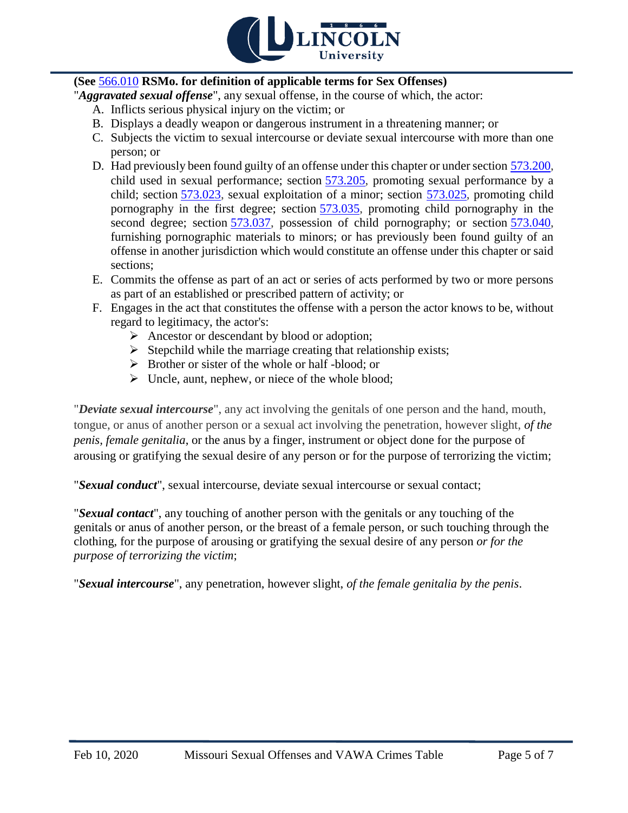

### **(See** [566.010](http://revisor.mo.gov/main/PageSelect.aspx?section=566.010&bid=29380&hl=) **RSMo. for definition of applicable terms for Sex Offenses)**

"*Aggravated sexual offense*", any sexual offense, in the course of which, the actor:

- A. Inflicts serious physical injury on the victim; or
- B. Displays a deadly weapon or dangerous instrument in a threatening manner; or
- C. Subjects the victim to sexual intercourse or deviate sexual intercourse with more than one person; or
- D. Had previously been found guilty of an offense under this chapter or under section [573.200,](http://revisor.mo.gov/main/PageSelect.aspx?section=573.200&bid=29785&hl=) child used in sexual performance; section [573.205,](http://revisor.mo.gov/main/PageSelect.aspx?section=573.205&bid=29786&hl=) promoting sexual performance by a child; section [573.023,](http://revisor.mo.gov/main/PageSelect.aspx?section=573.023&bid=29758&hl=) sexual exploitation of a minor; section [573.025,](http://revisor.mo.gov/main/PageSelect.aspx?section=573.025&bid=29760&hl=) promoting child pornography in the first degree; section [573.035,](http://revisor.mo.gov/main/PageSelect.aspx?section=573.035&bid=29764&hl=) promoting child pornography in the second degree; section [573.037,](http://revisor.mo.gov/main/PageSelect.aspx?section=573.037&bid=29766&hl=) possession of child pornography; or section [573.040,](http://revisor.mo.gov/main/PageSelect.aspx?section=573.040&bid=29769&hl=) furnishing pornographic materials to minors; or has previously been found guilty of an offense in another jurisdiction which would constitute an offense under this chapter or said sections;
- E. Commits the offense as part of an act or series of acts performed by two or more persons as part of an established or prescribed pattern of activity; or
- F. Engages in the act that constitutes the offense with a person the actor knows to be, without regard to legitimacy, the actor's:
	- Ancestor or descendant by blood or adoption;
	- $\triangleright$  Stepchild while the marriage creating that relationship exists;
	- $\triangleright$  Brother or sister of the whole or half-blood; or
	- $\triangleright$  Uncle, aunt, nephew, or niece of the whole blood;

"*Deviate sexual intercourse*", any act involving the genitals of one person and the hand, mouth, tongue, or anus of another person or a sexual act involving the penetration, however slight, *of the penis, female genitalia*, or the anus by a finger, instrument or object done for the purpose of arousing or gratifying the sexual desire of any person or for the purpose of terrorizing the victim;

"*Sexual conduct*", sexual intercourse, deviate sexual intercourse or sexual contact;

"*Sexual contact*", any touching of another person with the genitals or any touching of the genitals or anus of another person, or the breast of a female person, or such touching through the clothing, for the purpose of arousing or gratifying the sexual desire of any person *or for the purpose of terrorizing the victim*;

"*Sexual intercourse*", any penetration, however slight, *of the female genitalia by the penis*.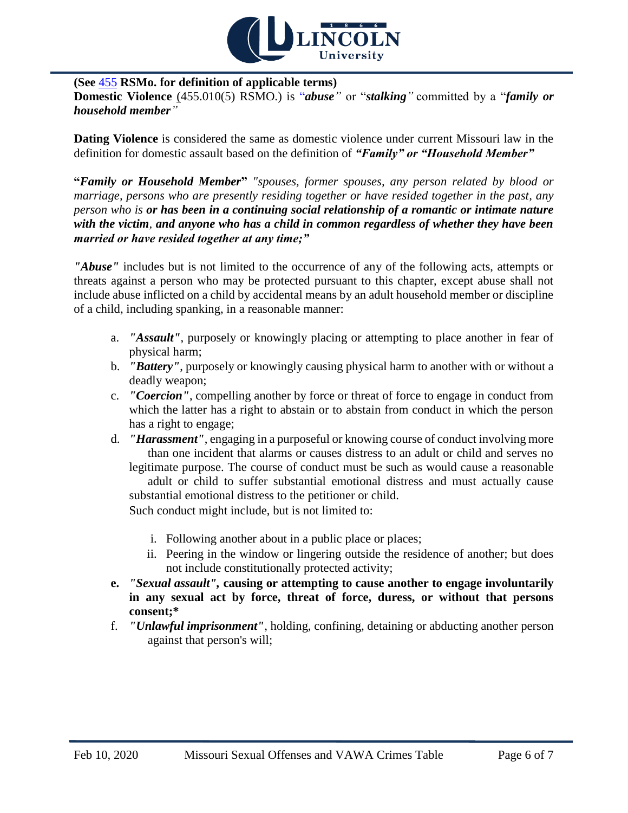

#### **(See** [455](http://revisor.mo.gov/main/OneChapter.aspx?chapter=455) **RSMo. for definition of applicable terms)**

**Domestic Violence** (455.010(5) RSMO.) is "*abuse"* or "*stalking"* committed by a "*family or household member"* 

**Dating Violence** is considered the same as domestic violence under current Missouri law in the definition for domestic assault based on the definition of *"Family" or "Household Member"*

**"***Family or Household Member***"** *"spouses, former spouses, any person related by blood or marriage, persons who are presently residing together or have resided together in the past, any person who is or has been in a continuing social relationship of a romantic or intimate nature with the victim, and anyone who has a child in common regardless of whether they have been married or have resided together at any time;"*

*"Abuse"* includes but is not limited to the occurrence of any of the following acts, attempts or threats against a person who may be protected pursuant to this chapter, except abuse shall not include abuse inflicted on a child by accidental means by an adult household member or discipline of a child, including spanking, in a reasonable manner:

- a. *"Assault"*, purposely or knowingly placing or attempting to place another in fear of physical harm;
- b. *"Battery"*, purposely or knowingly causing physical harm to another with or without a deadly weapon;
- c. *"Coercion"*, compelling another by force or threat of force to engage in conduct from which the latter has a right to abstain or to abstain from conduct in which the person has a right to engage;
- d. *"Harassment"*, engaging in a purposeful or knowing course of conduct involving more than one incident that alarms or causes distress to an adult or child and serves no legitimate purpose. The course of conduct must be such as would cause a reasonable

adult or child to suffer substantial emotional distress and must actually cause substantial emotional distress to the petitioner or child.

Such conduct might include, but is not limited to:

- i. Following another about in a public place or places;
- ii. Peering in the window or lingering outside the residence of another; but does not include constitutionally protected activity;
- **e.** *"Sexual assault",* **causing or attempting to cause another to engage involuntarily in any sexual act by force, threat of force, duress, or without that persons consent;\***
- f. *"Unlawful imprisonment"*, holding, confining, detaining or abducting another person against that person's will;